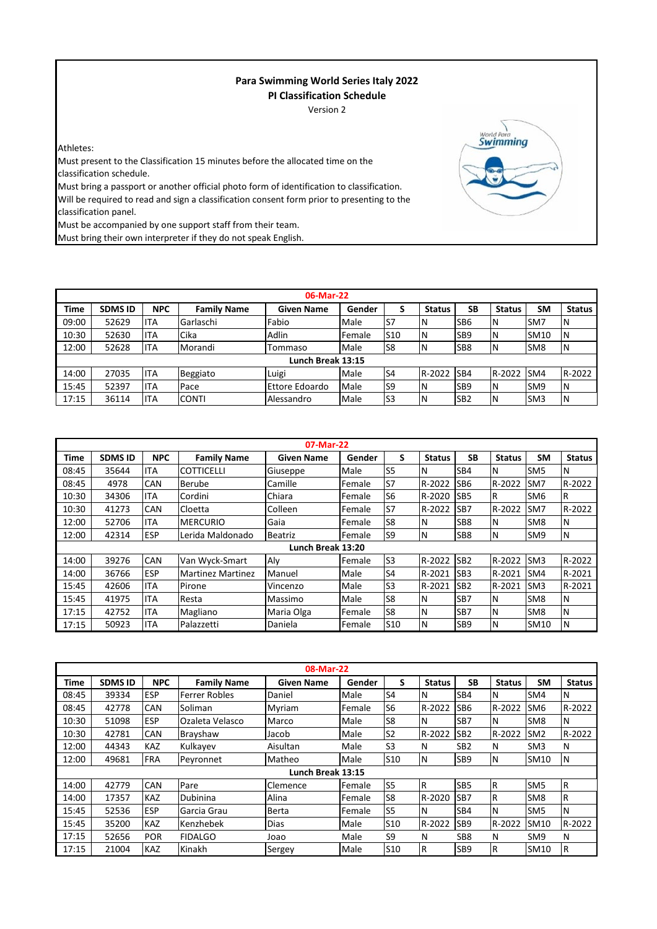## **Para Swimming World Series Italy 2022 PI Classification Schedule**

Version 2

Athletes:

Must present to the Classification 15 minutes before the allocated time on the classification schedule.

Must bring a passport or another official photo form of identification to classification. Will be required to read and sign a classification consent form prior to presenting to the classification panel.

Must be accompanied by one support staff from their team.

Must bring their own interpreter if they do not speak English.

| 06-Mar-22         |                |            |                    |                       |        |                 |               |                 |               |                 |               |
|-------------------|----------------|------------|--------------------|-----------------------|--------|-----------------|---------------|-----------------|---------------|-----------------|---------------|
| <b>Time</b>       | <b>SDMS ID</b> | <b>NPC</b> | <b>Family Name</b> | <b>Given Name</b>     | Gender |                 | <b>Status</b> | <b>SB</b>       | <b>Status</b> | SΜ              | <b>Status</b> |
| 09:00             | 52629          | <b>ITA</b> | Garlaschi          | Fabio                 | Male   | S7              | N             | SB <sub>6</sub> | ١N            | SM <sub>7</sub> | IN            |
| 10:30             | 52630          | <b>ITA</b> | Cika               | Adlin                 | Female | S <sub>10</sub> | N             | SB <sub>9</sub> | ١N            | SM10            | N             |
| 12:00             | 52628          | <b>ITA</b> | Morandi            | Tommaso               | Male   | S8              | N             | SB <sub>8</sub> | ١N            | SM <sub>8</sub> | IN            |
| Lunch Break 13:15 |                |            |                    |                       |        |                 |               |                 |               |                 |               |
| 14:00             | 27035          | <b>ITA</b> | Beggiato           | Luigi                 | Male   | S <sub>4</sub>  | R-2022        | SB <sub>4</sub> | R-2022        | SM4             | R-2022        |
| 15:45             | 52397          | <b>ITA</b> | Pace               | <b>Ettore Edoardo</b> | Male   | S9              | N             | SB <sub>9</sub> | ١N            | SM <sub>9</sub> | IN            |
| 17:15             | 36114          | <b>ITA</b> | <b>CONTI</b>       | Alessandro            | Male   | S <sub>3</sub>  | N             | SB <sub>2</sub> | ١N            | SM <sub>3</sub> | IN            |

|       | 07-Mar-22      |            |                          |                   |        |                 |               |                 |               |                 |               |  |
|-------|----------------|------------|--------------------------|-------------------|--------|-----------------|---------------|-----------------|---------------|-----------------|---------------|--|
| Time  | <b>SDMS ID</b> | <b>NPC</b> | <b>Family Name</b>       | <b>Given Name</b> | Gender | S               | <b>Status</b> | <b>SB</b>       | <b>Status</b> | SM              | <b>Status</b> |  |
| 08:45 | 35644          | <b>ITA</b> | <b>COTTICELLI</b>        | Giuseppe          | Male   | S <sub>5</sub>  | N             | SB4             | N             | SM <sub>5</sub> | N             |  |
| 08:45 | 4978           | <b>CAN</b> | Berube                   | Camille           | Female | S7              | R-2022        | SB6             | R-2022        | SM <sub>7</sub> | R-2022        |  |
| 10:30 | 34306          | <b>ITA</b> | Cordini                  | Chiara            | Female | S <sub>6</sub>  | R-2020        | SB5             | lR.           | SM <sub>6</sub> | R             |  |
| 10:30 | 41273          | <b>CAN</b> | Cloetta                  | Colleen           | Female | S7              | R-2022        | SB7             | R-2022        | SM <sub>7</sub> | R-2022        |  |
| 12:00 | 52706          | <b>ITA</b> | <b>MERCURIO</b>          | Gaia              | Female | S <sub>8</sub>  | N             | SB <sub>8</sub> | N             | SM <sub>8</sub> | N             |  |
| 12:00 | 42314          | <b>ESP</b> | Lerida Maldonado         | Beatriz           | Female | S <sub>9</sub>  | N             | SB8             | IN            | SM9             | N             |  |
|       |                |            |                          | Lunch Break 13:20 |        |                 |               |                 |               |                 |               |  |
| 14:00 | 39276          | <b>CAN</b> | Van Wyck-Smart           | Aly               | Female | S <sub>3</sub>  | R-2022        | SB <sub>2</sub> | R-2022        | SM <sub>3</sub> | R-2022        |  |
| 14:00 | 36766          | <b>ESP</b> | <b>Martinez Martinez</b> | Manuel            | Male   | S <sub>4</sub>  | R-2021        | SB <sub>3</sub> | R-2021        | SM4             | R-2021        |  |
| 15:45 | 42606          | <b>ITA</b> | Pirone                   | Vincenzo          | Male   | S <sub>3</sub>  | R-2021        | SB <sub>2</sub> | R-2021        | SM <sub>3</sub> | R-2021        |  |
| 15:45 | 41975          | ITA        | Resta                    | Massimo           | Male   | S <sub>8</sub>  | N             | SB7             | N             | SM <sub>8</sub> | N             |  |
| 17:15 | 42752          | <b>ITA</b> | Magliano                 | Maria Olga        | Female | S <sub>8</sub>  | N             | SB7             | N             | SM <sub>8</sub> | N             |  |
| 17:15 | 50923          | <b>ITA</b> | Palazzetti               | Daniela           | Female | S <sub>10</sub> | N             | SB <sub>9</sub> | <b>N</b>      | SM10            | N             |  |

| 08-Mar-22 |                |            |                      |                   |                |                 |               |                 |                |                 |                |
|-----------|----------------|------------|----------------------|-------------------|----------------|-----------------|---------------|-----------------|----------------|-----------------|----------------|
| Time      | <b>SDMS ID</b> | <b>NPC</b> | <b>Family Name</b>   | <b>Given Name</b> | Gender         | S               | <b>Status</b> | <b>SB</b>       | <b>Status</b>  | SM              | <b>Status</b>  |
| 08:45     | 39334          | <b>ESP</b> | <b>Ferrer Robles</b> | Daniel            | Male           | S <sub>4</sub>  | Ν             | SB4             | N              | SM4             | N              |
| 08:45     | 42778          | <b>CAN</b> | Soliman              | Myriam            | Female         | S <sub>6</sub>  | R-2022        | SB <sub>6</sub> | R-2022         | SM <sub>6</sub> | R-2022         |
| 10:30     | 51098          | <b>ESP</b> | Ozaleta Velasco      | Marco             | Male           | S <sub>8</sub>  | Ν             | SB7             | N              | SM <sub>8</sub> | N              |
| 10:30     | 42781          | CAN        | Brayshaw             | Jacob             | Male           | S <sub>2</sub>  | R-2022        | SB <sub>2</sub> | R-2022         | SM <sub>2</sub> | R-2022         |
| 12:00     | 44343          | <b>KAZ</b> | Kulkayev             | Aisultan          | Male           | S <sub>3</sub>  | N             | SB <sub>2</sub> | N              | SM <sub>3</sub> | N              |
| 12:00     | 49681          | <b>FRA</b> | Peyronnet            | Matheo            | Male           | S <sub>10</sub> | N             | SB <sub>9</sub> | <b>N</b>       | SM10            | N              |
|           |                |            |                      | Lunch Break 13:15 |                |                 |               |                 |                |                 |                |
| 14:00     | 42779          | CAN        | Pare                 | Clemence          | Female         | S <sub>5</sub>  | R             | SB <sub>5</sub> | $\overline{R}$ | SM <sub>5</sub> | $\overline{R}$ |
| 14:00     | 17357          | <b>KAZ</b> | Dubinina             | Alina             | <b>IFemale</b> | S <sub>8</sub>  | R-2020        | SB7             | R              | SM <sub>8</sub> | R              |
| 15:45     | 52536          | <b>ESP</b> | Garcia Grau          | Berta             | Female         | S <sub>5</sub>  | N             | SB4             | <b>N</b>       | SM <sub>5</sub> | N              |
| 15:45     | 35200          | <b>KAZ</b> | Kenzhebek            | <b>Dias</b>       | Male           | S <sub>10</sub> | R-2022        | SB <sub>9</sub> | R-2022         | SM10            | R-2022         |
| 17:15     | 52656          | <b>POR</b> | <b>FIDALGO</b>       | Joao              | Male           | S <sub>9</sub>  | N             | SB <sub>8</sub> | N              | SM9             | N              |
| 17:15     | 21004          | <b>KAZ</b> | Kinakh               | Sergey            | Male           | S <sub>10</sub> | R             | SB <sub>9</sub> | R              | SM10            | R              |